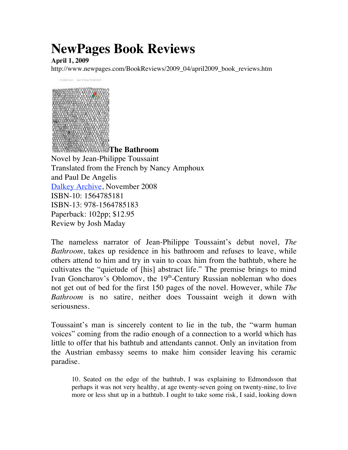## **NewPages Book Reviews**

**April 1, 2009**

http://www.newpages.com/BookReviews/2009\_04/april2009\_book\_reviews.htm



The nameless narrator of Jean-Philippe Toussaint's debut novel, *The Bathroom*, takes up residence in his bathroom and refuses to leave, while others attend to him and try in vain to coax him from the bathtub, where he cultivates the "quietude of [his] abstract life." The premise brings to mind Ivan Goncharov's Oblomov, the 19<sup>th</sup>-Century Russian nobleman who does not get out of bed for the first 150 pages of the novel. However, while *The Bathroom* is no satire, neither does Toussaint weigh it down with seriousness.

Toussaint's man is sincerely content to lie in the tub, the "warm human voices" coming from the radio enough of a connection to a world which has little to offer that his bathtub and attendants cannot. Only an invitation from the Austrian embassy seems to make him consider leaving his ceramic paradise.

10. Seated on the edge of the bathtub, I was explaining to Edmondsson that perhaps it was not very healthy, at age twenty-seven going on twenty-nine, to live more or less shut up in a bathtub. I ought to take some risk, I said, looking down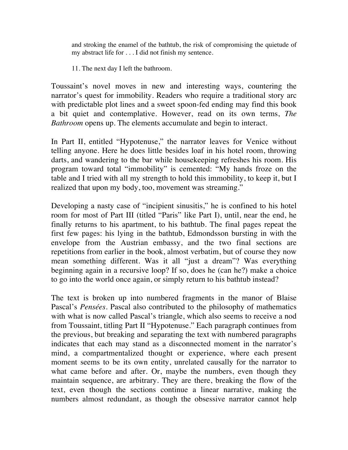and stroking the enamel of the bathtub, the risk of compromising the quietude of my abstract life for . . . I did not finish my sentence.

11. The next day I left the bathroom.

Toussaint's novel moves in new and interesting ways, countering the narrator's quest for immobility. Readers who require a traditional story arc with predictable plot lines and a sweet spoon-fed ending may find this book a bit quiet and contemplative. However, read on its own terms, *The Bathroom* opens up. The elements accumulate and begin to interact.

In Part II, entitled "Hypotenuse," the narrator leaves for Venice without telling anyone. Here he does little besides loaf in his hotel room, throwing darts, and wandering to the bar while housekeeping refreshes his room. His program toward total "immobility" is cemented: "My hands froze on the table and I tried with all my strength to hold this immobility, to keep it, but I realized that upon my body, too, movement was streaming."

Developing a nasty case of "incipient sinusitis," he is confined to his hotel room for most of Part III (titled "Paris" like Part I), until, near the end, he finally returns to his apartment, to his bathtub. The final pages repeat the first few pages: his lying in the bathtub, Edmondsson bursting in with the envelope from the Austrian embassy, and the two final sections are repetitions from earlier in the book, almost verbatim, but of course they now mean something different. Was it all "just a dream"? Was everything beginning again in a recursive loop? If so, does he (can he?) make a choice to go into the world once again, or simply return to his bathtub instead?

The text is broken up into numbered fragments in the manor of Blaise Pascal's *Pensées*. Pascal also contributed to the philosophy of mathematics with what is now called Pascal's triangle, which also seems to receive a nod from Toussaint, titling Part II "Hypotenuse." Each paragraph continues from the previous, but breaking and separating the text with numbered paragraphs indicates that each may stand as a disconnected moment in the narrator's mind, a compartmentalized thought or experience, where each present moment seems to be its own entity, unrelated causally for the narrator to what came before and after. Or, maybe the numbers, even though they maintain sequence, are arbitrary. They are there, breaking the flow of the text, even though the sections continue a linear narrative, making the numbers almost redundant, as though the obsessive narrator cannot help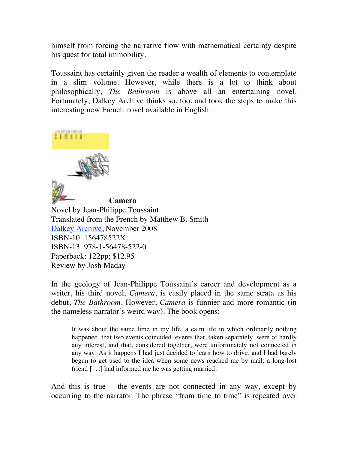himself from forcing the narrative flow with mathematical certainty despite his quest for total immobility.

Toussaint has certainly given the reader a wealth of elements to contemplate in a slim volume. However, while there is a lot to think about philosophically, *The Bathroom* is above all an entertaining novel. Fortunately, Dalkey Archive thinks so, too, and took the steps to make this interesting new French novel available in English.



**Camera** Novel by Jean-Philippe Toussaint Translated from the French by Matthew B. Smith Dalkey Archive, November 2008 ISBN-10: 156478522X ISBN-13: 978-1-56478-522-0 Paperback: 122pp; \$12.95 Review by Josh Maday

In the geology of Jean-Philippe Toussaint's career and development as a writer, his third novel, *Camera*, is easily placed in the same strata as his debut, *The Bathroom*. However, *Camera* is funnier and more romantic (in the nameless narrator's weird way). The book opens:

It was about the same time in my life, a calm life in which ordinarily nothing happened, that two events coincided, events that, taken separately, were of hardly any interest, and that, considered together, were unfortunately not connected in any way. As it happens I had just decided to learn how to drive, and I had barely begun to get used to the idea when some news reached me by mail: a long-lost friend [. . .] had informed me he was getting married.

And this is true – the events are not connected in any way, except by occurring to the narrator. The phrase "from time to time" is repeated over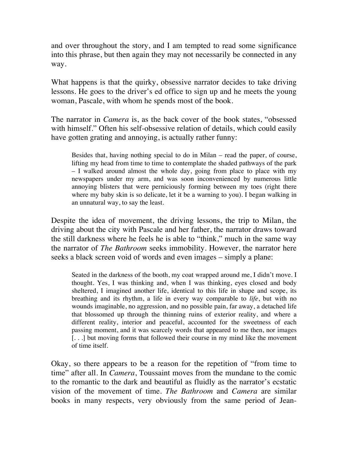and over throughout the story, and I am tempted to read some significance into this phrase, but then again they may not necessarily be connected in any way.

What happens is that the quirky, obsessive narrator decides to take driving lessons. He goes to the driver's ed office to sign up and he meets the young woman, Pascale, with whom he spends most of the book.

The narrator in *Camera* is, as the back cover of the book states, "obsessed with himself." Often his self-obsessive relation of details, which could easily have gotten grating and annoying, is actually rather funny:

Besides that, having nothing special to do in Milan – read the paper, of course, lifting my head from time to time to contemplate the shaded pathways of the park – I walked around almost the whole day, going from place to place with my newspapers under my arm, and was soon inconvenienced by numerous little annoying blisters that were perniciously forming between my toes (right there where my baby skin is so delicate, let it be a warning to you). I began walking in an unnatural way, to say the least.

Despite the idea of movement, the driving lessons, the trip to Milan, the driving about the city with Pascale and her father, the narrator draws toward the still darkness where he feels he is able to "think," much in the same way the narrator of *The Bathroom* seeks immobility. However, the narrator here seeks a black screen void of words and even images – simply a plane:

Seated in the darkness of the booth, my coat wrapped around me, I didn't move. I thought. Yes, I was thinking and, when I was thinking, eyes closed and body sheltered, I imagined another life, identical to this life in shape and scope, its breathing and its rhythm, a life in every way comparable to *life*, but with no wounds imaginable, no aggression, and no possible pain, far away, a detached life that blossomed up through the thinning ruins of exterior reality, and where a different reality, interior and peaceful, accounted for the sweetness of each passing moment, and it was scarcely words that appeared to me then, nor images [. . .] but moving forms that followed their course in my mind like the movement of time itself.

Okay, so there appears to be a reason for the repetition of "from time to time" after all. In *Camera*, Toussaint moves from the mundane to the comic to the romantic to the dark and beautiful as fluidly as the narrator's ecstatic vision of the movement of time. *The Bathroom* and *Camera* are similar books in many respects, very obviously from the same period of Jean